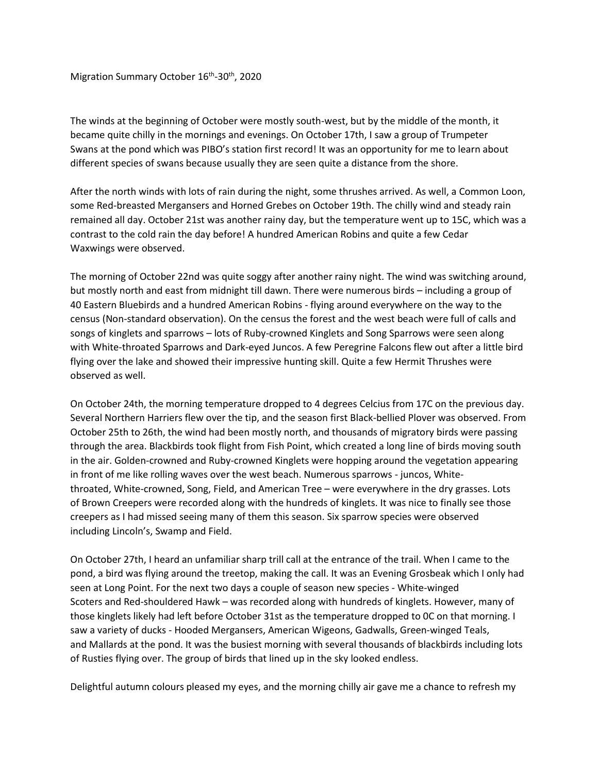## Migration Summary October 16<sup>th</sup>-30<sup>th</sup>, 2020

The winds at the beginning of October were mostly south-west, but by the middle of the month, it became quite chilly in the mornings and evenings. On October 17th, I saw a group of Trumpeter Swans at the pond which was PIBO's station first record! It was an opportunity for me to learn about different species of swans because usually they are seen quite a distance from the shore.

After the north winds with lots of rain during the night, some thrushes arrived. As well, a Common Loon, some Red-breasted Mergansers and Horned Grebes on October 19th. The chilly wind and steady rain remained all day. October 21st was another rainy day, but the temperature went up to 15C, which was a contrast to the cold rain the day before! A hundred American Robins and quite a few Cedar Waxwings were observed.

The morning of October 22nd was quite soggy after another rainy night. The wind was switching around, but mostly north and east from midnight till dawn. There were numerous birds – including a group of 40 Eastern Bluebirds and a hundred American Robins - flying around everywhere on the way to the census (Non-standard observation). On the census the forest and the west beach were full of calls and songs of kinglets and sparrows – lots of Ruby-crowned Kinglets and Song Sparrows were seen along with White-throated Sparrows and Dark-eyed Juncos. A few Peregrine Falcons flew out after a little bird flying over the lake and showed their impressive hunting skill. Quite a few Hermit Thrushes were observed as well.

On October 24th, the morning temperature dropped to 4 degrees Celcius from 17C on the previous day. Several Northern Harriers flew over the tip, and the season first Black-bellied Plover was observed. From October 25th to 26th, the wind had been mostly north, and thousands of migratory birds were passing through the area. Blackbirds took flight from Fish Point, which created a long line of birds moving south in the air. Golden-crowned and Ruby-crowned Kinglets were hopping around the vegetation appearing in front of me like rolling waves over the west beach. Numerous sparrows - juncos, Whitethroated, White-crowned, Song, Field, and American Tree – were everywhere in the dry grasses. Lots of Brown Creepers were recorded along with the hundreds of kinglets. It was nice to finally see those creepers as I had missed seeing many of them this season. Six sparrow species were observed including Lincoln's, Swamp and Field.

On October 27th, I heard an unfamiliar sharp trill call at the entrance of the trail. When I came to the pond, a bird was flying around the treetop, making the call. It was an Evening Grosbeak which I only had seen at Long Point. For the next two days a couple of season new species - White-winged Scoters and Red-shouldered Hawk – was recorded along with hundreds of kinglets. However, many of those kinglets likely had left before October 31st as the temperature dropped to 0C on that morning. I saw a variety of ducks - Hooded Mergansers, American Wigeons, Gadwalls, Green-winged Teals, and Mallards at the pond. It was the busiest morning with several thousands of blackbirds including lots of Rusties flying over. The group of birds that lined up in the sky looked endless.

Delightful autumn colours pleased my eyes, and the morning chilly air gave me a chance to refresh my